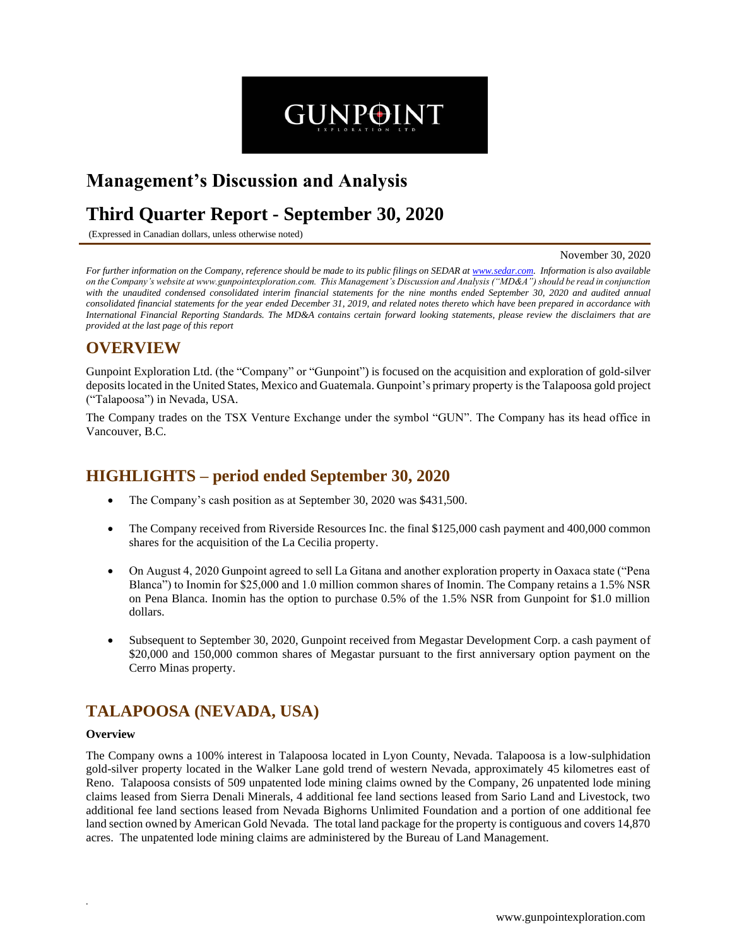# **Management's Discussion and Analysis**

## **Third Quarter Report - September 30, 2020**

(Expressed in Canadian dollars, unless otherwise noted)

#### November 30, 2020

*For further information on the Company, reference should be made to its public filings on SEDAR at www.sedar.com. Information is also available on the Company's website at www.gunpointexploration.com. This Management's Discussion and Analysis ("MD&A") should be read in conjunction with the unaudited condensed consolidated interim financial statements for the nine months ended September 30, 2020 and audited annual consolidated financial statements for the year ended December 31, 2019, and related notes thereto which have been prepared in accordance with International Financial Reporting Standards. The MD&A contains certain forward looking statements, please review the disclaimers that are provided at the last page of this report*

**GUNPOINT** 

### **OVERVIEW**

Gunpoint Exploration Ltd. (the "Company" or "Gunpoint") is focused on the acquisition and exploration of gold-silver depositslocated in the United States, Mexico and Guatemala. Gunpoint's primary property is the Talapoosa gold project ("Talapoosa") in Nevada, USA.

The Company trades on the TSX Venture Exchange under the symbol "GUN". The Company has its head office in Vancouver, B.C.

### **HIGHLIGHTS – period ended September 30, 2020**

- The Company's cash position as at September 30, 2020 was \$431,500.
- The Company received from Riverside Resources Inc. the final \$125,000 cash payment and 400,000 common shares for the acquisition of the La Cecilia property.
- On August 4, 2020 Gunpoint agreed to sell La Gitana and another exploration property in Oaxaca state ("Pena Blanca") to Inomin for \$25,000 and 1.0 million common shares of Inomin. The Company retains a 1.5% NSR on Pena Blanca. Inomin has the option to purchase 0.5% of the 1.5% NSR from Gunpoint for \$1.0 million dollars.
- Subsequent to September 30, 2020, Gunpoint received from Megastar Development Corp. a cash payment of \$20,000 and 150,000 common shares of Megastar pursuant to the first anniversary option payment on the Cerro Minas property.

### **TALAPOOSA (NEVADA, USA)**

#### **Overview**

*.* 

The Company owns a 100% interest in Talapoosa located in Lyon County, Nevada. Talapoosa is a low-sulphidation gold-silver property located in the Walker Lane gold trend of western Nevada, approximately 45 kilometres east of Reno. Talapoosa consists of 509 unpatented lode mining claims owned by the Company, 26 unpatented lode mining claims leased from Sierra Denali Minerals, 4 additional fee land sections leased from Sario Land and Livestock, two additional fee land sections leased from Nevada Bighorns Unlimited Foundation and a portion of one additional fee land section owned by American Gold Nevada. The total land package for the property is contiguous and covers 14,870 acres. The unpatented lode mining claims are administered by the Bureau of Land Management.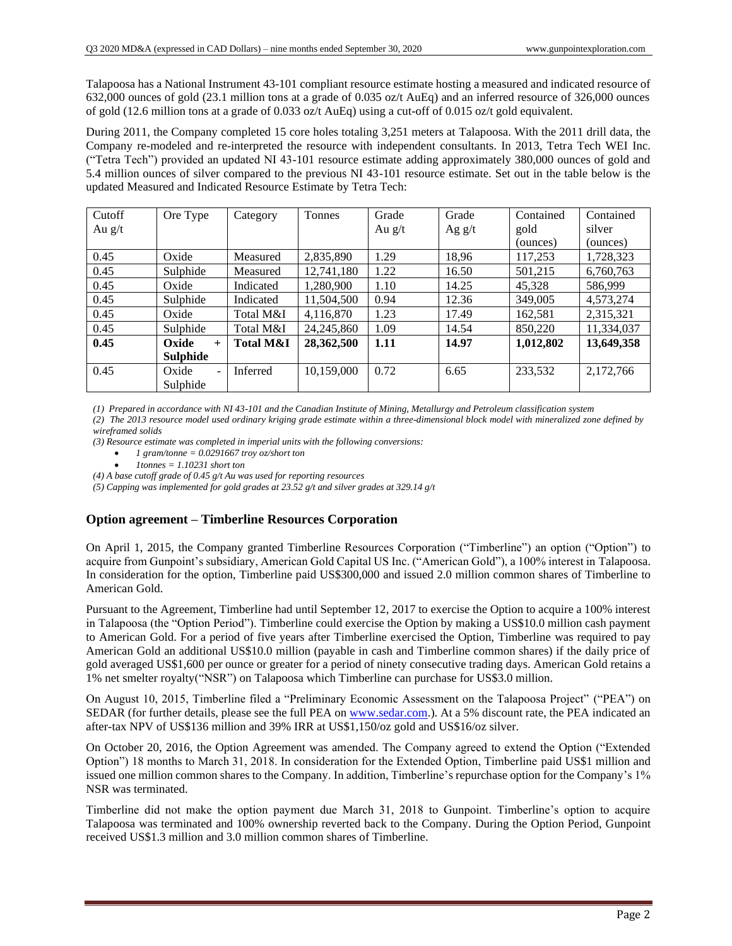Talapoosa has a National Instrument 43-101 compliant resource estimate hosting a measured and indicated resource of 632,000 ounces of gold (23.1 million tons at a grade of 0.035 oz/t AuEq) and an inferred resource of 326,000 ounces of gold (12.6 million tons at a grade of 0.033 oz/t AuEq) using a cut-off of 0.015 oz/t gold equivalent.

During 2011, the Company completed 15 core holes totaling 3,251 meters at Talapoosa. With the 2011 drill data, the Company re-modeled and re-interpreted the resource with independent consultants. In 2013, Tetra Tech WEI Inc. ("Tetra Tech") provided an updated NI 43-101 resource estimate adding approximately 380,000 ounces of gold and 5.4 million ounces of silver compared to the previous NI 43-101 resource estimate. Set out in the table below is the updated Measured and Indicated Resource Estimate by Tetra Tech:

| Cutoff   | Ore Type     | Category             | Tonnes       | Grade    | Grade    | Contained | Contained  |
|----------|--------------|----------------------|--------------|----------|----------|-----------|------------|
| Au $g/t$ |              |                      |              | Au $g/t$ | Ag $g/t$ | gold      | silver     |
|          |              |                      |              |          |          | (ounces)  | (ounces)   |
| 0.45     | Oxide        | Measured             | 2,835,890    | 1.29     | 18,96    | 117,253   | 1,728,323  |
| 0.45     | Sulphide     | Measured             | 12,741,180   | 1.22     | 16.50    | 501,215   | 6,760,763  |
| 0.45     | Oxide        | Indicated            | 1,280,900    | 1.10     | 14.25    | 45,328    | 586,999    |
| 0.45     | Sulphide     | Indicated            | 11,504,500   | 0.94     | 12.36    | 349,005   | 4,573,274  |
| 0.45     | Oxide        | Total M&I            | 4,116,870    | 1.23     | 17.49    | 162,581   | 2,315,321  |
| 0.45     | Sulphide     | Total M&I            | 24, 245, 860 | 1.09     | 14.54    | 850,220   | 11,334,037 |
| 0.45     | Oxide<br>$+$ | <b>Total M&amp;I</b> | 28,362,500   | 1.11     | 14.97    | 1,012,802 | 13,649,358 |
|          | Sulphide     |                      |              |          |          |           |            |
| 0.45     | Oxide<br>۰   | <b>Inferred</b>      | 10,159,000   | 0.72     | 6.65     | 233,532   | 2,172,766  |
|          | Sulphide     |                      |              |          |          |           |            |

*(1) Prepared in accordance with NI 43-101 and the Canadian Institute of Mining, Metallurgy and Petroleum classification system*

*(2) The 2013 resource model used ordinary kriging grade estimate within a three-dimensional block model with mineralized zone defined by wireframed solids*

*(3) Resource estimate was completed in imperial units with the following conversions:*

- *1 gram/tonne = 0.0291667 troy oz/short ton*
- *1tonnes = 1.10231 short ton*

*(4) A base cutoff grade of 0.45 g/t Au was used for reporting resources*

*(5) Capping was implemented for gold grades at 23.52 g/t and silver grades at 329.14 g/t*

#### **Option agreement – Timberline Resources Corporation**

On April 1, 2015, the Company granted Timberline Resources Corporation ("Timberline") an option ("Option") to acquire from Gunpoint's subsidiary, American Gold Capital US Inc. ("American Gold"), a 100% interest in Talapoosa. In consideration for the option, Timberline paid US\$300,000 and issued 2.0 million common shares of Timberline to American Gold.

Pursuant to the Agreement, Timberline had until September 12, 2017 to exercise the Option to acquire a 100% interest in Talapoosa (the "Option Period"). Timberline could exercise the Option by making a US\$10.0 million cash payment to American Gold. For a period of five years after Timberline exercised the Option, Timberline was required to pay American Gold an additional US\$10.0 million (payable in cash and Timberline common shares) if the daily price of gold averaged US\$1,600 per ounce or greater for a period of ninety consecutive trading days. American Gold retains a 1% net smelter royalty("NSR") on Talapoosa which Timberline can purchase for US\$3.0 million.

On August 10, 2015, Timberline filed a "Preliminary Economic Assessment on the Talapoosa Project" ("PEA") on SEDAR (for further details, please see the full PEA on www.sedar.com.). At a 5% discount rate, the PEA indicated an after-tax NPV of US\$136 million and 39% IRR at US\$1,150/oz gold and US\$16/oz silver.

On October 20, 2016, the Option Agreement was amended. The Company agreed to extend the Option ("Extended Option") 18 months to March 31, 2018. In consideration for the Extended Option, Timberline paid US\$1 million and issued one million common shares to the Company. In addition, Timberline's repurchase option for the Company's 1% NSR was terminated.

Timberline did not make the option payment due March 31, 2018 to Gunpoint. Timberline's option to acquire Talapoosa was terminated and 100% ownership reverted back to the Company. During the Option Period, Gunpoint received US\$1.3 million and 3.0 million common shares of Timberline.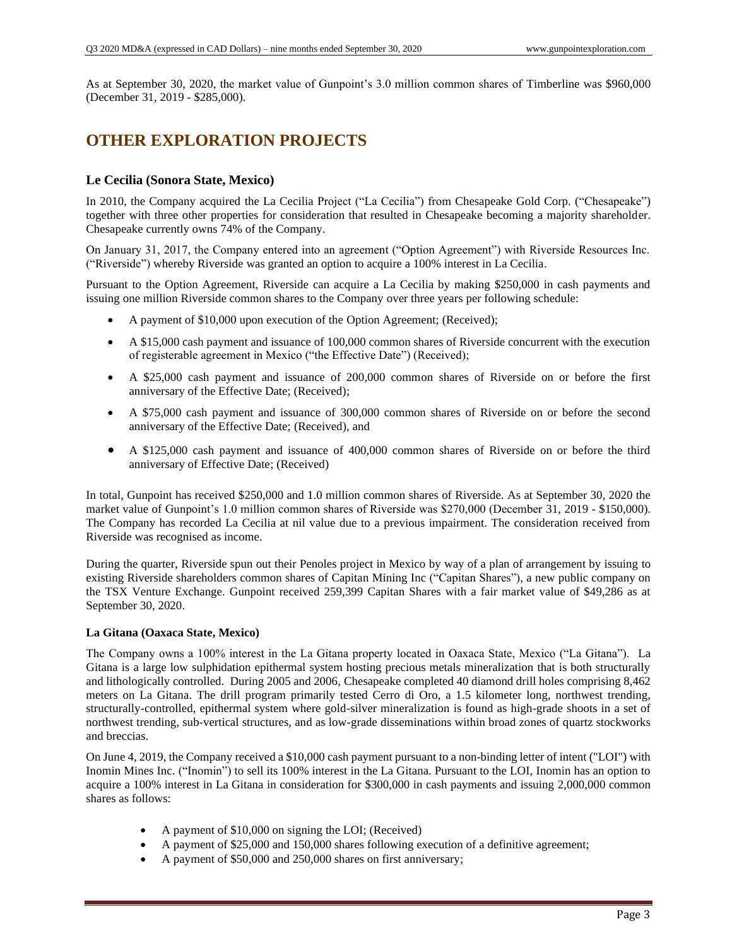As at September 30, 2020, the market value of Gunpoint's 3.0 million common shares of Timberline was \$960,000 (December 31, 2019 - \$285,000).

### **OTHER EXPLORATION PROJECTS**

#### **Le Cecilia (Sonora State, Mexico)**

In 2010, the Company acquired the La Cecilia Project ("La Cecilia") from Chesapeake Gold Corp. ("Chesapeake") together with three other properties for consideration that resulted in Chesapeake becoming a majority shareholder. Chesapeake currently owns 74% of the Company.

On January 31, 2017, the Company entered into an agreement ("Option Agreement") with Riverside Resources Inc. ("Riverside") whereby Riverside was granted an option to acquire a 100% interest in La Cecilia.

Pursuant to the Option Agreement, Riverside can acquire a La Cecilia by making \$250,000 in cash payments and issuing one million Riverside common shares to the Company over three years per following schedule:

- A payment of \$10,000 upon execution of the Option Agreement; (Received);
- A \$15,000 cash payment and issuance of 100,000 common shares of Riverside concurrent with the execution of registerable agreement in Mexico ("the Effective Date") (Received);
- A \$25,000 cash payment and issuance of 200,000 common shares of Riverside on or before the first anniversary of the Effective Date; (Received);
- A \$75,000 cash payment and issuance of 300,000 common shares of Riverside on or before the second anniversary of the Effective Date; (Received), and
- A \$125,000 cash payment and issuance of 400,000 common shares of Riverside on or before the third anniversary of Effective Date; (Received)

In total, Gunpoint has received \$250,000 and 1.0 million common shares of Riverside. As at September 30, 2020 the market value of Gunpoint's 1.0 million common shares of Riverside was \$270,000 (December 31, 2019 - \$150,000). The Company has recorded La Cecilia at nil value due to a previous impairment. The consideration received from Riverside was recognised as income.

During the quarter, Riverside spun out their Penoles project in Mexico by way of a plan of arrangement by issuing to existing Riverside shareholders common shares of Capitan Mining Inc ("Capitan Shares"), a new public company on the TSX Venture Exchange. Gunpoint received 259,399 Capitan Shares with a fair market value of \$49,286 as at September 30, 2020.

#### **La Gitana (Oaxaca State, Mexico)**

The Company owns a 100% interest in the La Gitana property located in Oaxaca State, Mexico ("La Gitana"). La Gitana is a large low sulphidation epithermal system hosting precious metals mineralization that is both structurally and lithologically controlled. During 2005 and 2006, Chesapeake completed 40 diamond drill holes comprising 8,462 meters on La Gitana. The drill program primarily tested Cerro di Oro, a 1.5 kilometer long, northwest trending, structurally-controlled, epithermal system where gold-silver mineralization is found as high-grade shoots in a set of northwest trending, sub-vertical structures, and as low-grade disseminations within broad zones of quartz stockworks and breccias.

On June 4, 2019, the Company received a \$10,000 cash payment pursuant to a non-binding letter of intent ("LOI") with Inomin Mines Inc. ("Inomin") to sell its 100% interest in the La Gitana. Pursuant to the LOI, Inomin has an option to acquire a 100% interest in La Gitana in consideration for \$300,000 in cash payments and issuing 2,000,000 common shares as follows:

- A payment of \$10,000 on signing the LOI; (Received)
- A payment of \$25,000 and 150,000 shares following execution of a definitive agreement;
- A payment of \$50,000 and 250,000 shares on first anniversary;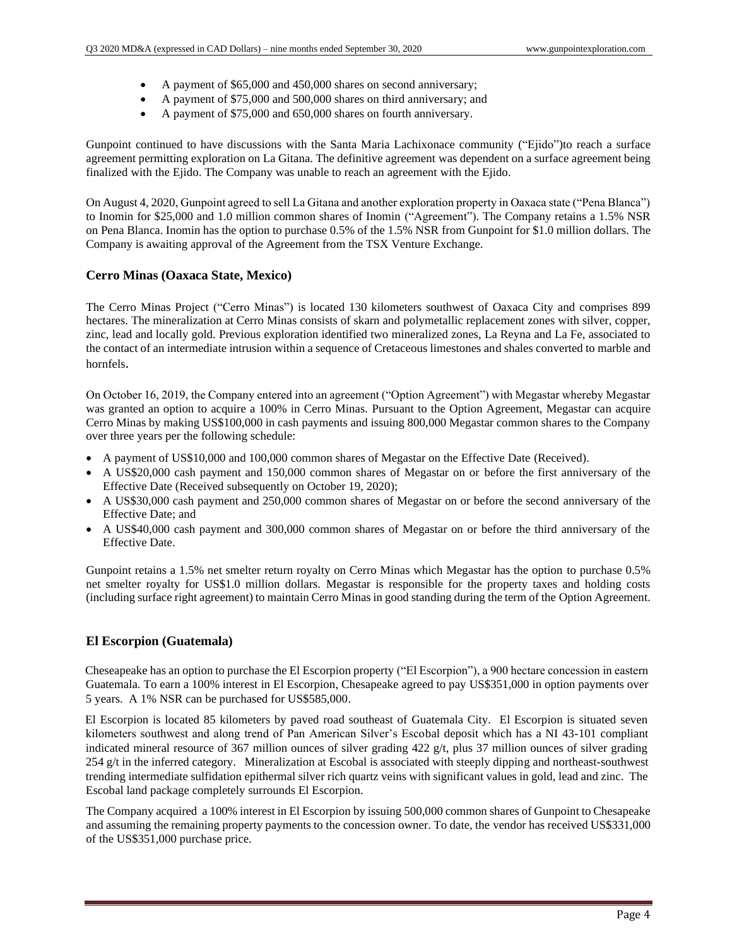- A payment of \$65,000 and 450,000 shares on second anniversary;
- A payment of \$75,000 and 500,000 shares on third anniversary; and
- A payment of \$75,000 and 650,000 shares on fourth anniversary.

Gunpoint continued to have discussions with the Santa Maria Lachixonace community ("Ejido")to reach a surface agreement permitting exploration on La Gitana. The definitive agreement was dependent on a surface agreement being finalized with the Ejido. The Company was unable to reach an agreement with the Ejido.

On August 4, 2020, Gunpoint agreed to sell La Gitana and another exploration property in Oaxaca state ("Pena Blanca") to Inomin for \$25,000 and 1.0 million common shares of Inomin ("Agreement"). The Company retains a 1.5% NSR on Pena Blanca. Inomin has the option to purchase 0.5% of the 1.5% NSR from Gunpoint for \$1.0 million dollars. The Company is awaiting approval of the Agreement from the TSX Venture Exchange.

#### **Cerro Minas (Oaxaca State, Mexico)**

The Cerro Minas Project ("Cerro Minas") is located 130 kilometers southwest of Oaxaca City and comprises 899 hectares. The mineralization at Cerro Minas consists of skarn and polymetallic replacement zones with silver, copper, zinc, lead and locally gold. Previous exploration identified two mineralized zones, La Reyna and La Fe, associated to the contact of an intermediate intrusion within a sequence of Cretaceous limestones and shales converted to marble and hornfels.

On October 16, 2019, the Company entered into an agreement ("Option Agreement") with Megastar whereby Megastar was granted an option to acquire a 100% in Cerro Minas. Pursuant to the Option Agreement, Megastar can acquire Cerro Minas by making US\$100,000 in cash payments and issuing 800,000 Megastar common shares to the Company over three years per the following schedule:

- A payment of US\$10,000 and 100,000 common shares of Megastar on the Effective Date (Received).
- A US\$20,000 cash payment and 150,000 common shares of Megastar on or before the first anniversary of the Effective Date (Received subsequently on October 19, 2020);
- A US\$30,000 cash payment and 250,000 common shares of Megastar on or before the second anniversary of the Effective Date; and
- A US\$40,000 cash payment and 300,000 common shares of Megastar on or before the third anniversary of the Effective Date.

Gunpoint retains a 1.5% net smelter return royalty on Cerro Minas which Megastar has the option to purchase 0.5% net smelter royalty for US\$1.0 million dollars. Megastar is responsible for the property taxes and holding costs (including surface right agreement) to maintain Cerro Minas in good standing during the term of the Option Agreement.

#### **El Escorpion (Guatemala)**

Cheseapeake has an option to purchase the El Escorpion property ("El Escorpion"), a 900 hectare concession in eastern Guatemala. To earn a 100% interest in El Escorpion, Chesapeake agreed to pay US\$351,000 in option payments over 5 years. A 1% NSR can be purchased for US\$585,000.

El Escorpion is located 85 kilometers by paved road southeast of Guatemala City. El Escorpion is situated seven kilometers southwest and along trend of Pan American Silver's Escobal deposit which has a NI 43-101 compliant indicated mineral resource of 367 million ounces of silver grading 422 g/t, plus 37 million ounces of silver grading 254 g/t in the inferred category. Mineralization at Escobal is associated with steeply dipping and northeast-southwest trending intermediate sulfidation epithermal silver rich quartz veins with significant values in gold, lead and zinc. The Escobal land package completely surrounds El Escorpion.

The Company acquired a 100% interest in El Escorpion by issuing 500,000 common shares of Gunpoint to Chesapeake and assuming the remaining property payments to the concession owner. To date, the vendor has received US\$331,000 of the US\$351,000 purchase price.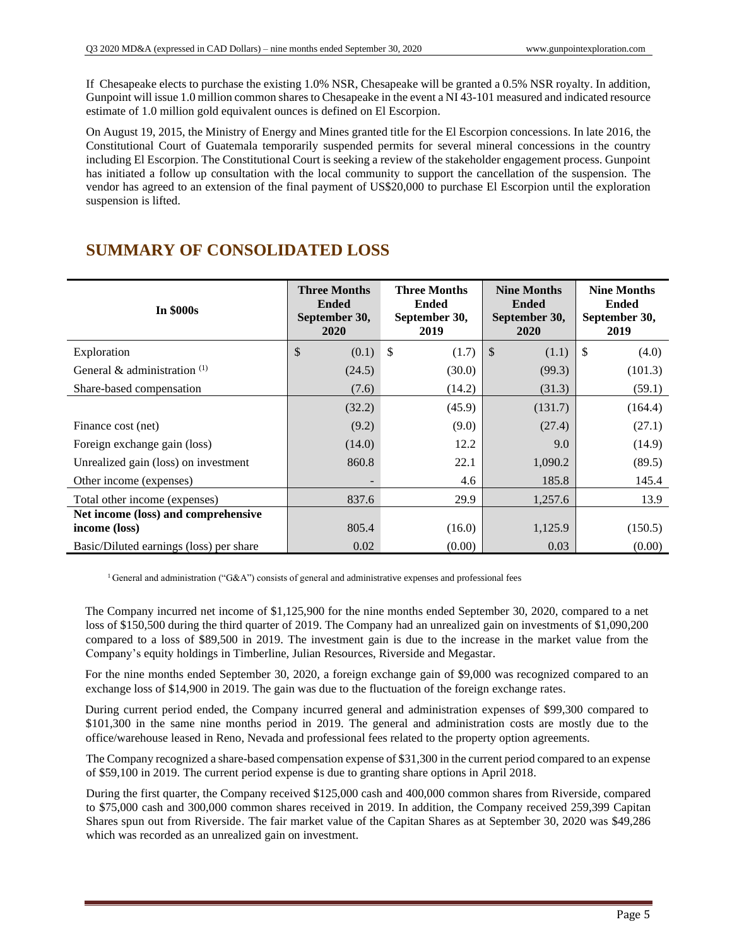If Chesapeake elects to purchase the existing 1.0% NSR, Chesapeake will be granted a 0.5% NSR royalty. In addition, Gunpoint will issue 1.0 million common shares to Chesapeake in the event a NI 43-101 measured and indicated resource estimate of 1.0 million gold equivalent ounces is defined on El Escorpion.

On August 19, 2015, the Ministry of Energy and Mines granted title for the El Escorpion concessions. In late 2016, the Constitutional Court of Guatemala temporarily suspended permits for several mineral concessions in the country including El Escorpion. The Constitutional Court is seeking a review of the stakeholder engagement process. Gunpoint has initiated a follow up consultation with the local community to support the cancellation of the suspension. The vendor has agreed to an extension of the final payment of US\$20,000 to purchase El Escorpion until the exploration suspension is lifted.

## **SUMMARY OF CONSOLIDATED LOSS**

| <b>In \$000s</b>                                     | <b>Three Months</b><br><b>Ended</b><br>September 30,<br>2020 | <b>Three Months</b><br><b>Ended</b><br>September 30,<br>2019 | <b>Nine Months</b><br><b>Ended</b><br>September 30,<br>2020 | <b>Nine Months</b><br><b>Ended</b><br>September 30,<br>2019 |  |
|------------------------------------------------------|--------------------------------------------------------------|--------------------------------------------------------------|-------------------------------------------------------------|-------------------------------------------------------------|--|
| Exploration                                          | \$<br>(0.1)                                                  | \$<br>(1.7)                                                  | \$<br>(1.1)                                                 | $\boldsymbol{\mathsf{S}}$<br>(4.0)                          |  |
| General & administration $(1)$                       | (24.5)                                                       | (30.0)                                                       | (99.3)                                                      | (101.3)                                                     |  |
| Share-based compensation                             | (7.6)                                                        | (14.2)                                                       | (31.3)                                                      | (59.1)                                                      |  |
|                                                      | (32.2)                                                       | (45.9)                                                       | (131.7)                                                     | (164.4)                                                     |  |
| Finance cost (net)                                   | (9.2)                                                        | (9.0)                                                        | (27.4)                                                      | (27.1)                                                      |  |
| Foreign exchange gain (loss)                         | (14.0)                                                       | 12.2                                                         | 9.0                                                         | (14.9)                                                      |  |
| Unrealized gain (loss) on investment                 | 860.8                                                        | 22.1                                                         | 1,090.2                                                     | (89.5)                                                      |  |
| Other income (expenses)                              |                                                              | 4.6                                                          | 185.8                                                       | 145.4                                                       |  |
| Total other income (expenses)                        | 837.6                                                        | 29.9                                                         | 1,257.6                                                     | 13.9                                                        |  |
| Net income (loss) and comprehensive<br>income (loss) | 805.4                                                        | (16.0)                                                       | 1,125.9                                                     | (150.5)                                                     |  |
| Basic/Diluted earnings (loss) per share              | 0.02                                                         | (0.00)                                                       | 0.03                                                        | (0.00)                                                      |  |

<sup>1</sup> General and administration ("G&A") consists of general and administrative expenses and professional fees

The Company incurred net income of \$1,125,900 for the nine months ended September 30, 2020, compared to a net loss of \$150,500 during the third quarter of 2019. The Company had an unrealized gain on investments of \$1,090,200 compared to a loss of \$89,500 in 2019. The investment gain is due to the increase in the market value from the Company's equity holdings in Timberline, Julian Resources, Riverside and Megastar.

For the nine months ended September 30, 2020, a foreign exchange gain of \$9,000 was recognized compared to an exchange loss of \$14,900 in 2019. The gain was due to the fluctuation of the foreign exchange rates.

During current period ended, the Company incurred general and administration expenses of \$99,300 compared to \$101,300 in the same nine months period in 2019. The general and administration costs are mostly due to the office/warehouse leased in Reno, Nevada and professional fees related to the property option agreements.

The Company recognized a share-based compensation expense of \$31,300 in the current period compared to an expense of \$59,100 in 2019. The current period expense is due to granting share options in April 2018.

During the first quarter, the Company received \$125,000 cash and 400,000 common shares from Riverside, compared to \$75,000 cash and 300,000 common shares received in 2019. In addition, the Company received 259,399 Capitan Shares spun out from Riverside. The fair market value of the Capitan Shares as at September 30, 2020 was \$49,286 which was recorded as an unrealized gain on investment.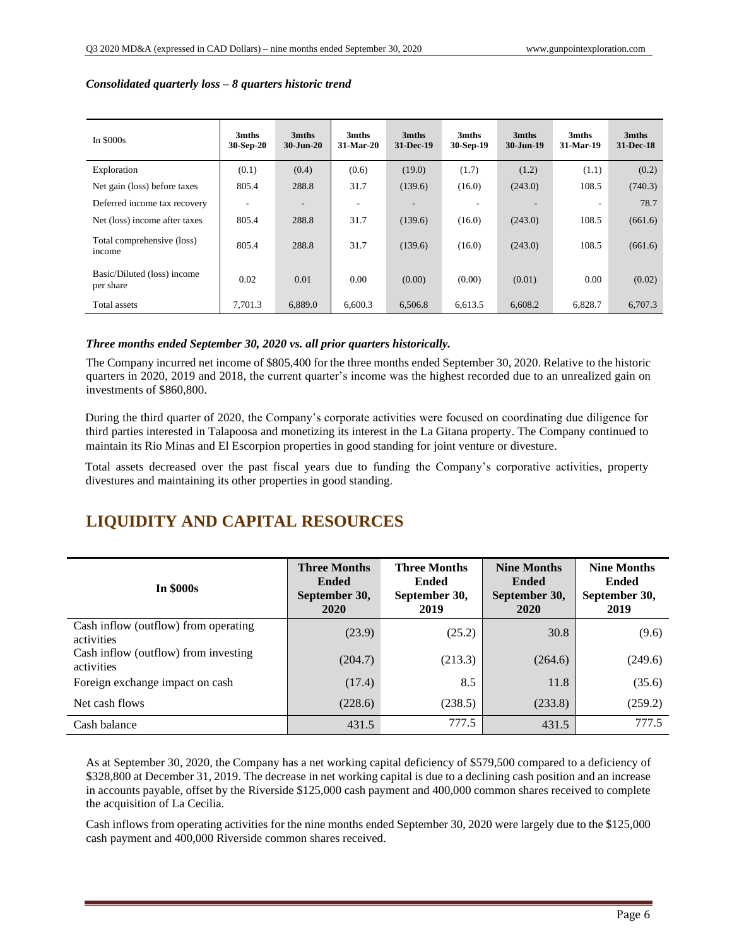| In $$000s$                               | 3mths<br>30-Sep-20 | 3mths<br>$30 - Jun-20$   | 3mths<br>31-Mar-20 | 3mths<br>31-Dec-19       | 3mths<br>30-Sep-19 | 3mths<br>$30 - Jun-19$ | 3mths<br>31-Mar-19       | 3mths<br>31-Dec-18 |
|------------------------------------------|--------------------|--------------------------|--------------------|--------------------------|--------------------|------------------------|--------------------------|--------------------|
| Exploration                              | (0.1)              | (0.4)                    | (0.6)              | (19.0)                   | (1.7)              | (1.2)                  | (1.1)                    | (0.2)              |
| Net gain (loss) before taxes             | 805.4              | 288.8                    | 31.7               | (139.6)                  | (16.0)             | (243.0)                | 108.5                    | (740.3)            |
| Deferred income tax recovery             |                    | $\overline{\phantom{a}}$ |                    | $\overline{\phantom{a}}$ |                    | -                      | $\overline{\phantom{a}}$ | 78.7               |
| Net (loss) income after taxes            | 805.4              | 288.8                    | 31.7               | (139.6)                  | (16.0)             | (243.0)                | 108.5                    | (661.6)            |
| Total comprehensive (loss)<br>income     | 805.4              | 288.8                    | 31.7               | (139.6)                  | (16.0)             | (243.0)                | 108.5                    | (661.6)            |
| Basic/Diluted (loss) income<br>per share | 0.02               | 0.01                     | 0.00               | (0.00)                   | (0.00)             | (0.01)                 | 0.00                     | (0.02)             |
| Total assets                             | 7.701.3            | 6.889.0                  | 6.600.3            | 6.506.8                  | 6,613.5            | 6.608.2                | 6.828.7                  | 6.707.3            |

#### *Consolidated quarterly loss – 8 quarters historic trend*

#### *Three months ended September 30, 2020 vs. all prior quarters historically.*

The Company incurred net income of \$805,400 for the three months ended September 30, 2020. Relative to the historic quarters in 2020, 2019 and 2018, the current quarter's income was the highest recorded due to an unrealized gain on investments of \$860,800.

During the third quarter of 2020, the Company's corporate activities were focused on coordinating due diligence for third parties interested in Talapoosa and monetizing its interest in the La Gitana property. The Company continued to maintain its Rio Minas and El Escorpion properties in good standing for joint venture or divesture.

Total assets decreased over the past fiscal years due to funding the Company's corporative activities, property divestures and maintaining its other properties in good standing.

## **LIQUIDITY AND CAPITAL RESOURCES**

| <b>In \$000s</b>                                   | <b>Three Months</b><br><b>Ended</b><br>September 30,<br>2020 | <b>Three Months</b><br><b>Ended</b><br>September 30,<br>2019 | <b>Nine Months</b><br><b>Ended</b><br>September 30,<br>2020 | <b>Nine Months</b><br><b>Ended</b><br>September 30,<br>2019 |
|----------------------------------------------------|--------------------------------------------------------------|--------------------------------------------------------------|-------------------------------------------------------------|-------------------------------------------------------------|
| Cash inflow (outflow) from operating<br>activities | (23.9)                                                       | (25.2)                                                       | 30.8                                                        | (9.6)                                                       |
| Cash inflow (outflow) from investing<br>activities | (204.7)                                                      | (213.3)                                                      | (264.6)                                                     | (249.6)                                                     |
| Foreign exchange impact on cash                    | (17.4)                                                       | 8.5                                                          | 11.8                                                        | (35.6)                                                      |
| Net cash flows                                     | (228.6)                                                      | (238.5)                                                      | (233.8)                                                     | (259.2)                                                     |
| Cash balance                                       | 431.5                                                        | 777.5                                                        | 431.5                                                       | 777.5                                                       |

As at September 30, 2020, the Company has a net working capital deficiency of \$579,500 compared to a deficiency of \$328,800 at December 31, 2019. The decrease in net working capital is due to a declining cash position and an increase in accounts payable, offset by the Riverside \$125,000 cash payment and 400,000 common shares received to complete the acquisition of La Cecilia.

Cash inflows from operating activities for the nine months ended September 30, 2020 were largely due to the \$125,000 cash payment and 400,000 Riverside common shares received.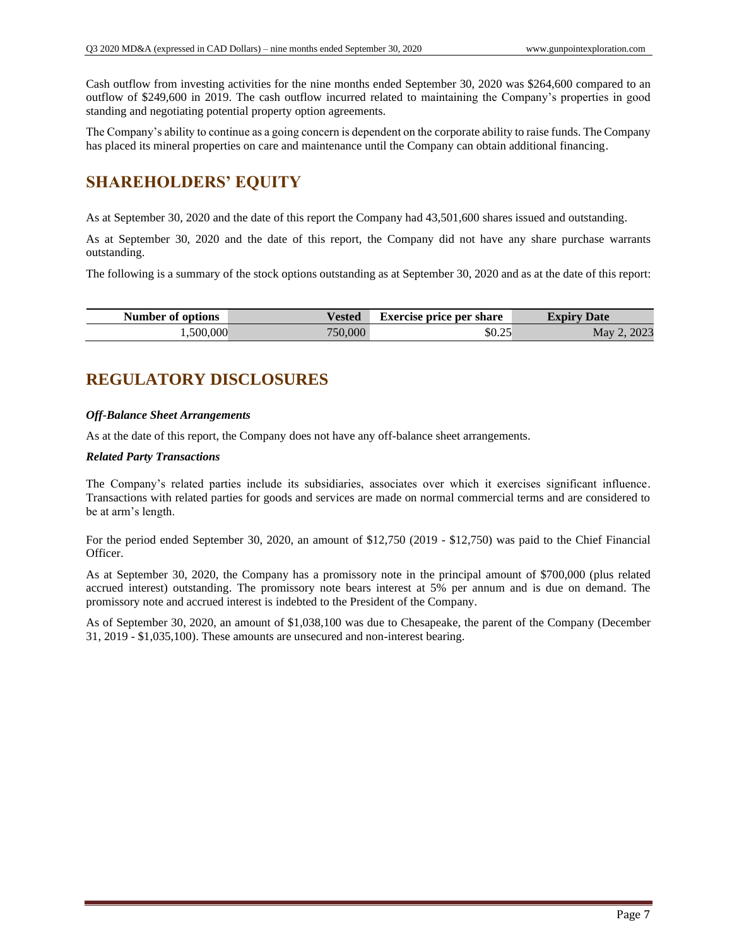Cash outflow from investing activities for the nine months ended September 30, 2020 was \$264,600 compared to an outflow of \$249,600 in 2019. The cash outflow incurred related to maintaining the Company's properties in good standing and negotiating potential property option agreements.

The Company's ability to continue as a going concern is dependent on the corporate ability to raise funds. The Company has placed its mineral properties on care and maintenance until the Company can obtain additional financing.

## **SHAREHOLDERS' EQUITY**

As at September 30, 2020 and the date of this report the Company had 43,501,600 shares issued and outstanding.

As at September 30, 2020 and the date of this report, the Company did not have any share purchase warrants outstanding.

The following is a summary of the stock options outstanding as at September 30, 2020 and as at the date of this report:

| Number of options | <b>Vested</b> | <b>Exercise price per share</b> | <b>Expiry</b><br>Date |
|-------------------|---------------|---------------------------------|-----------------------|
| ,500,000          | 750.000       | \$0.25                          | 2023<br>May           |

## **REGULATORY DISCLOSURES**

#### *Off-Balance Sheet Arrangements*

As at the date of this report, the Company does not have any off-balance sheet arrangements.

#### *Related Party Transactions*

The Company's related parties include its subsidiaries, associates over which it exercises significant influence. Transactions with related parties for goods and services are made on normal commercial terms and are considered to be at arm's length.

For the period ended September 30, 2020, an amount of \$12,750 (2019 - \$12,750) was paid to the Chief Financial Officer.

As at September 30, 2020, the Company has a promissory note in the principal amount of \$700,000 (plus related accrued interest) outstanding. The promissory note bears interest at 5% per annum and is due on demand. The promissory note and accrued interest is indebted to the President of the Company.

As of September 30, 2020, an amount of \$1,038,100 was due to Chesapeake, the parent of the Company (December 31, 2019 - \$1,035,100). These amounts are unsecured and non-interest bearing.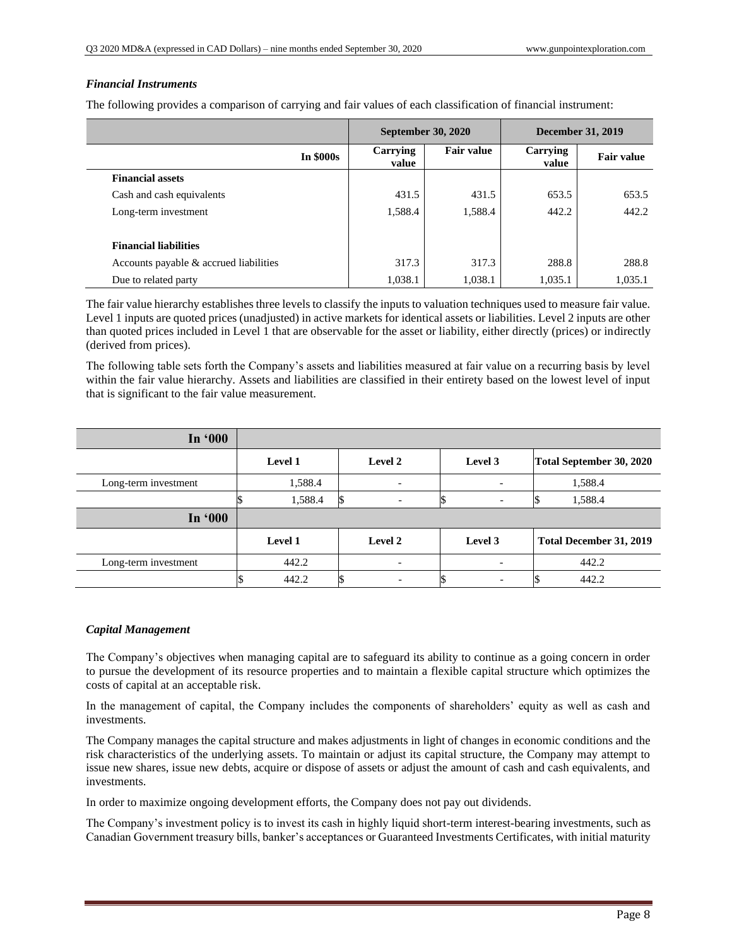#### *Financial Instruments*

The following provides a comparison of carrying and fair values of each classification of financial instrument:

|                                        |                  | <b>September 30, 2020</b> |                   | <b>December 31, 2019</b> |                   |
|----------------------------------------|------------------|---------------------------|-------------------|--------------------------|-------------------|
|                                        | <b>In \$000s</b> | Carrying<br>value         | <b>Fair value</b> | Carrying<br>value        | <b>Fair value</b> |
| <b>Financial assets</b>                |                  |                           |                   |                          |                   |
| Cash and cash equivalents              |                  | 431.5                     | 431.5             | 653.5                    | 653.5             |
| Long-term investment                   |                  | 1,588.4                   | 1,588.4           | 442.2                    | 442.2             |
| <b>Financial liabilities</b>           |                  |                           |                   |                          |                   |
| Accounts payable & accrued liabilities |                  | 317.3                     | 317.3             | 288.8                    | 288.8             |
| Due to related party                   |                  | 1,038.1                   | 1,038.1           | 1,035.1                  | 1,035.1           |

The fair value hierarchy establishes three levels to classify the inputs to valuation techniques used to measure fair value. Level 1 inputs are quoted prices (unadjusted) in active markets for identical assets or liabilities. Level 2 inputs are other than quoted prices included in Level 1 that are observable for the asset or liability, either directly (prices) or indirectly (derived from prices).

The following table sets forth the Company's assets and liabilities measured at fair value on a recurring basis by level within the fair value hierarchy. Assets and liabilities are classified in their entirety based on the lowest level of input that is significant to the fair value measurement.

| In '000              |         |                          |         |                          |
|----------------------|---------|--------------------------|---------|--------------------------|
|                      | Level 1 | <b>Level 2</b>           | Level 3 | Total September 30, 2020 |
| Long-term investment | 1,588.4 |                          |         | 1,588.4                  |
|                      | 1,588.4 |                          |         | 1,588.4                  |
| In '000              |         |                          |         |                          |
|                      | Level 1 | Level 2                  | Level 3 | Total December 31, 2019  |
| Long-term investment | 442.2   | $\overline{\phantom{0}}$ |         | 442.2                    |
|                      | 442.2   | $\overline{\phantom{0}}$ |         | 442.2                    |

#### *Capital Management*

The Company's objectives when managing capital are to safeguard its ability to continue as a going concern in order to pursue the development of its resource properties and to maintain a flexible capital structure which optimizes the costs of capital at an acceptable risk.

In the management of capital, the Company includes the components of shareholders' equity as well as cash and investments.

The Company manages the capital structure and makes adjustments in light of changes in economic conditions and the risk characteristics of the underlying assets. To maintain or adjust its capital structure, the Company may attempt to issue new shares, issue new debts, acquire or dispose of assets or adjust the amount of cash and cash equivalents, and investments.

In order to maximize ongoing development efforts, the Company does not pay out dividends.

The Company's investment policy is to invest its cash in highly liquid short-term interest-bearing investments, such as Canadian Government treasury bills, banker's acceptances or Guaranteed Investments Certificates, with initial maturity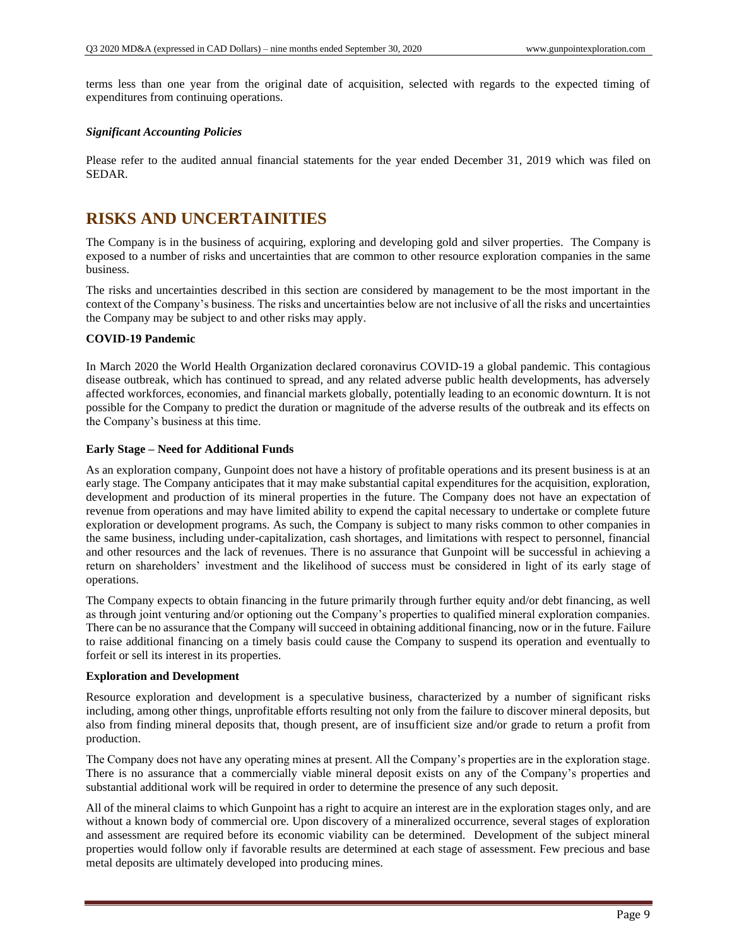terms less than one year from the original date of acquisition, selected with regards to the expected timing of expenditures from continuing operations.

#### *Significant Accounting Policies*

Please refer to the audited annual financial statements for the year ended December 31, 2019 which was filed on SEDAR.

### **RISKS AND UNCERTAINITIES**

The Company is in the business of acquiring, exploring and developing gold and silver properties. The Company is exposed to a number of risks and uncertainties that are common to other resource exploration companies in the same business.

The risks and uncertainties described in this section are considered by management to be the most important in the context of the Company's business. The risks and uncertainties below are not inclusive of all the risks and uncertainties the Company may be subject to and other risks may apply.

#### **COVID-19 Pandemic**

In March 2020 the World Health Organization declared coronavirus COVID-19 a global pandemic. This contagious disease outbreak, which has continued to spread, and any related adverse public health developments, has adversely affected workforces, economies, and financial markets globally, potentially leading to an economic downturn. It is not possible for the Company to predict the duration or magnitude of the adverse results of the outbreak and its effects on the Company's business at this time.

#### **Early Stage – Need for Additional Funds**

As an exploration company, Gunpoint does not have a history of profitable operations and its present business is at an early stage. The Company anticipates that it may make substantial capital expenditures for the acquisition, exploration, development and production of its mineral properties in the future. The Company does not have an expectation of revenue from operations and may have limited ability to expend the capital necessary to undertake or complete future exploration or development programs. As such, the Company is subject to many risks common to other companies in the same business, including under-capitalization, cash shortages, and limitations with respect to personnel, financial and other resources and the lack of revenues. There is no assurance that Gunpoint will be successful in achieving a return on shareholders' investment and the likelihood of success must be considered in light of its early stage of operations.

The Company expects to obtain financing in the future primarily through further equity and/or debt financing, as well as through joint venturing and/or optioning out the Company's properties to qualified mineral exploration companies. There can be no assurance that the Company will succeed in obtaining additional financing, now or in the future. Failure to raise additional financing on a timely basis could cause the Company to suspend its operation and eventually to forfeit or sell its interest in its properties.

#### **Exploration and Development**

Resource exploration and development is a speculative business, characterized by a number of significant risks including, among other things, unprofitable efforts resulting not only from the failure to discover mineral deposits, but also from finding mineral deposits that, though present, are of insufficient size and/or grade to return a profit from production.

The Company does not have any operating mines at present. All the Company's properties are in the exploration stage. There is no assurance that a commercially viable mineral deposit exists on any of the Company's properties and substantial additional work will be required in order to determine the presence of any such deposit.

All of the mineral claims to which Gunpoint has a right to acquire an interest are in the exploration stages only, and are without a known body of commercial ore. Upon discovery of a mineralized occurrence, several stages of exploration and assessment are required before its economic viability can be determined. Development of the subject mineral properties would follow only if favorable results are determined at each stage of assessment. Few precious and base metal deposits are ultimately developed into producing mines.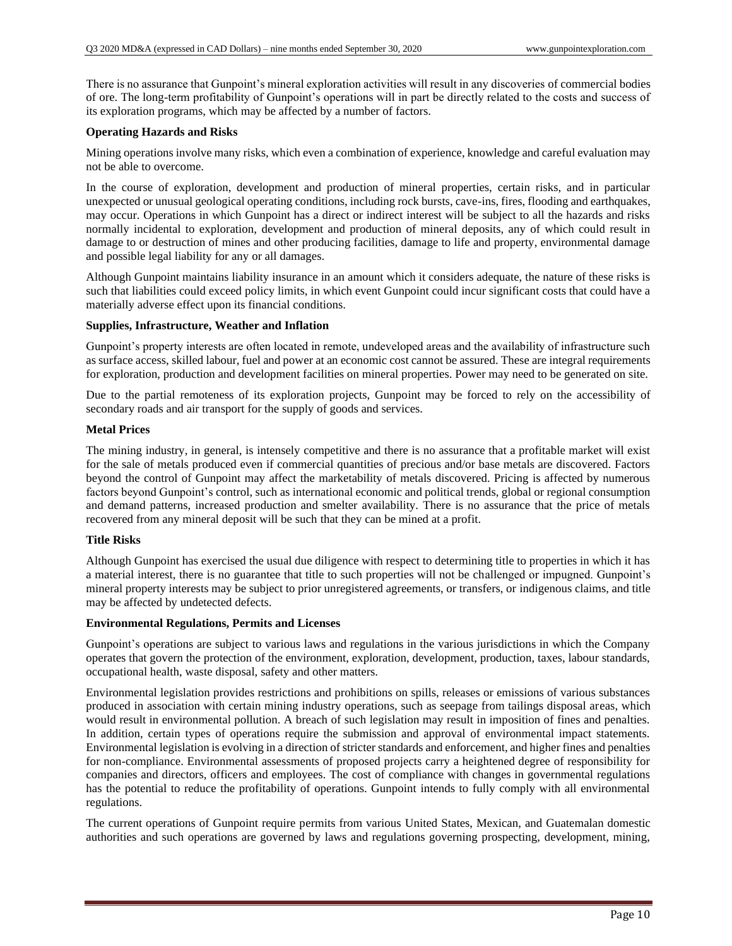There is no assurance that Gunpoint's mineral exploration activities will result in any discoveries of commercial bodies of ore. The long-term profitability of Gunpoint's operations will in part be directly related to the costs and success of its exploration programs, which may be affected by a number of factors.

#### **Operating Hazards and Risks**

Mining operations involve many risks, which even a combination of experience, knowledge and careful evaluation may not be able to overcome.

In the course of exploration, development and production of mineral properties, certain risks, and in particular unexpected or unusual geological operating conditions, including rock bursts, cave-ins, fires, flooding and earthquakes, may occur. Operations in which Gunpoint has a direct or indirect interest will be subject to all the hazards and risks normally incidental to exploration, development and production of mineral deposits, any of which could result in damage to or destruction of mines and other producing facilities, damage to life and property, environmental damage and possible legal liability for any or all damages.

Although Gunpoint maintains liability insurance in an amount which it considers adequate, the nature of these risks is such that liabilities could exceed policy limits, in which event Gunpoint could incur significant costs that could have a materially adverse effect upon its financial conditions.

#### **Supplies, Infrastructure, Weather and Inflation**

Gunpoint's property interests are often located in remote, undeveloped areas and the availability of infrastructure such as surface access, skilled labour, fuel and power at an economic cost cannot be assured. These are integral requirements for exploration, production and development facilities on mineral properties. Power may need to be generated on site.

Due to the partial remoteness of its exploration projects, Gunpoint may be forced to rely on the accessibility of secondary roads and air transport for the supply of goods and services.

#### **Metal Prices**

The mining industry, in general, is intensely competitive and there is no assurance that a profitable market will exist for the sale of metals produced even if commercial quantities of precious and/or base metals are discovered. Factors beyond the control of Gunpoint may affect the marketability of metals discovered. Pricing is affected by numerous factors beyond Gunpoint's control, such as international economic and political trends, global or regional consumption and demand patterns, increased production and smelter availability. There is no assurance that the price of metals recovered from any mineral deposit will be such that they can be mined at a profit.

#### **Title Risks**

Although Gunpoint has exercised the usual due diligence with respect to determining title to properties in which it has a material interest, there is no guarantee that title to such properties will not be challenged or impugned. Gunpoint's mineral property interests may be subject to prior unregistered agreements, or transfers, or indigenous claims, and title may be affected by undetected defects.

#### **Environmental Regulations, Permits and Licenses**

Gunpoint's operations are subject to various laws and regulations in the various jurisdictions in which the Company operates that govern the protection of the environment, exploration, development, production, taxes, labour standards, occupational health, waste disposal, safety and other matters.

Environmental legislation provides restrictions and prohibitions on spills, releases or emissions of various substances produced in association with certain mining industry operations, such as seepage from tailings disposal areas, which would result in environmental pollution. A breach of such legislation may result in imposition of fines and penalties. In addition, certain types of operations require the submission and approval of environmental impact statements. Environmental legislation is evolving in a direction of stricter standards and enforcement, and higher fines and penalties for non-compliance. Environmental assessments of proposed projects carry a heightened degree of responsibility for companies and directors, officers and employees. The cost of compliance with changes in governmental regulations has the potential to reduce the profitability of operations. Gunpoint intends to fully comply with all environmental regulations.

The current operations of Gunpoint require permits from various United States, Mexican, and Guatemalan domestic authorities and such operations are governed by laws and regulations governing prospecting, development, mining,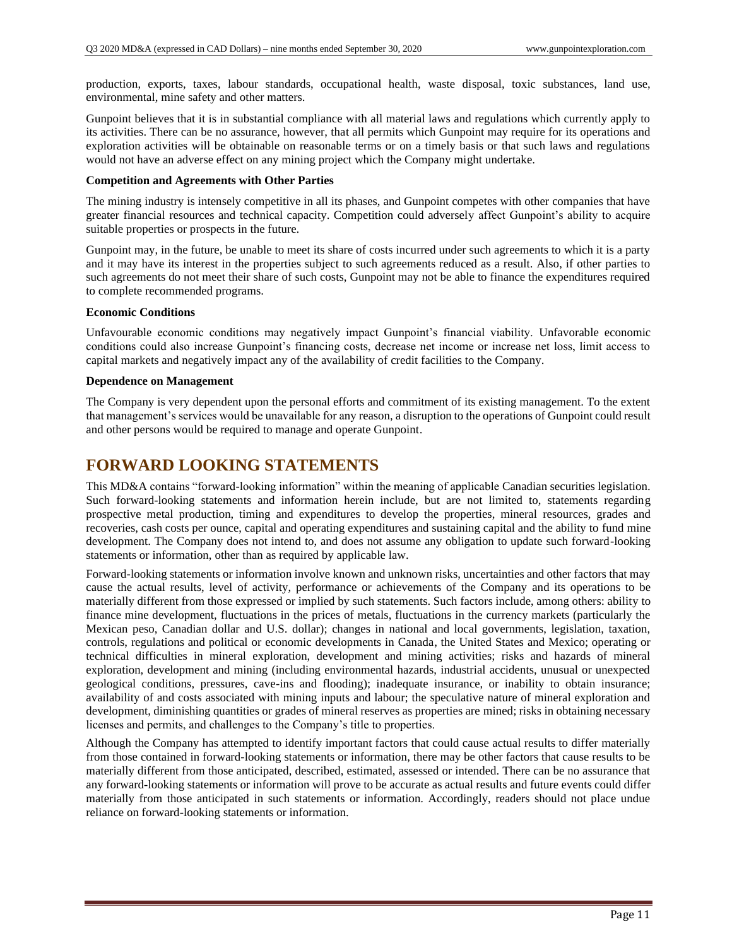production, exports, taxes, labour standards, occupational health, waste disposal, toxic substances, land use, environmental, mine safety and other matters.

Gunpoint believes that it is in substantial compliance with all material laws and regulations which currently apply to its activities. There can be no assurance, however, that all permits which Gunpoint may require for its operations and exploration activities will be obtainable on reasonable terms or on a timely basis or that such laws and regulations would not have an adverse effect on any mining project which the Company might undertake.

#### **Competition and Agreements with Other Parties**

The mining industry is intensely competitive in all its phases, and Gunpoint competes with other companies that have greater financial resources and technical capacity. Competition could adversely affect Gunpoint's ability to acquire suitable properties or prospects in the future.

Gunpoint may, in the future, be unable to meet its share of costs incurred under such agreements to which it is a party and it may have its interest in the properties subject to such agreements reduced as a result. Also, if other parties to such agreements do not meet their share of such costs, Gunpoint may not be able to finance the expenditures required to complete recommended programs.

#### **Economic Conditions**

Unfavourable economic conditions may negatively impact Gunpoint's financial viability. Unfavorable economic conditions could also increase Gunpoint's financing costs, decrease net income or increase net loss, limit access to capital markets and negatively impact any of the availability of credit facilities to the Company.

#### **Dependence on Management**

The Company is very dependent upon the personal efforts and commitment of its existing management. To the extent that management's services would be unavailable for any reason, a disruption to the operations of Gunpoint could result and other persons would be required to manage and operate Gunpoint.

### **FORWARD LOOKING STATEMENTS**

This MD&A contains "forward-looking information" within the meaning of applicable Canadian securities legislation. Such forward-looking statements and information herein include, but are not limited to, statements regarding prospective metal production, timing and expenditures to develop the properties, mineral resources, grades and recoveries, cash costs per ounce, capital and operating expenditures and sustaining capital and the ability to fund mine development. The Company does not intend to, and does not assume any obligation to update such forward-looking statements or information, other than as required by applicable law.

Forward-looking statements or information involve known and unknown risks, uncertainties and other factors that may cause the actual results, level of activity, performance or achievements of the Company and its operations to be materially different from those expressed or implied by such statements. Such factors include, among others: ability to finance mine development, fluctuations in the prices of metals, fluctuations in the currency markets (particularly the Mexican peso, Canadian dollar and U.S. dollar); changes in national and local governments, legislation, taxation, controls, regulations and political or economic developments in Canada, the United States and Mexico; operating or technical difficulties in mineral exploration, development and mining activities; risks and hazards of mineral exploration, development and mining (including environmental hazards, industrial accidents, unusual or unexpected geological conditions, pressures, cave-ins and flooding); inadequate insurance, or inability to obtain insurance; availability of and costs associated with mining inputs and labour; the speculative nature of mineral exploration and development, diminishing quantities or grades of mineral reserves as properties are mined; risks in obtaining necessary licenses and permits, and challenges to the Company's title to properties.

Although the Company has attempted to identify important factors that could cause actual results to differ materially from those contained in forward-looking statements or information, there may be other factors that cause results to be materially different from those anticipated, described, estimated, assessed or intended. There can be no assurance that any forward-looking statements or information will prove to be accurate as actual results and future events could differ materially from those anticipated in such statements or information. Accordingly, readers should not place undue reliance on forward-looking statements or information.